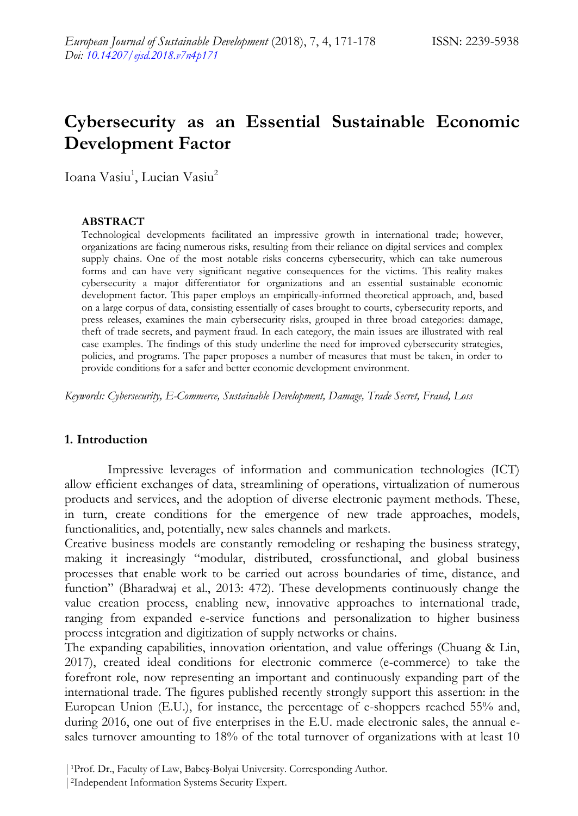# **Cybersecurity as an Essential Sustainable Economic Development Factor**

Ioana Vasiu<sup>1</sup>, Lucian Vasiu<sup>2</sup>

#### **ABSTRACT**

Technological developments facilitated an impressive growth in international trade; however, organizations are facing numerous risks, resulting from their reliance on digital services and complex supply chains. One of the most notable risks concerns cybersecurity, which can take numerous forms and can have very significant negative consequences for the victims. This reality makes cybersecurity a major differentiator for organizations and an essential sustainable economic development factor. This paper employs an empirically-informed theoretical approach, and, based on a large corpus of data, consisting essentially of cases brought to courts, cybersecurity reports, and press releases, examines the main cybersecurity risks, grouped in three broad categories: damage, theft of trade secrets, and payment fraud. In each category, the main issues are illustrated with real case examples. The findings of this study underline the need for improved cybersecurity strategies, policies, and programs. The paper proposes a number of measures that must be taken, in order to provide conditions for a safer and better economic development environment.

*Keywords: Cybersecurity, E-Commerce, Sustainable Development, Damage, Trade Secret, Fraud, Loss*

#### **1. Introduction**

Impressive leverages of information and communication technologies (ICT) allow efficient exchanges of data, streamlining of operations, virtualization of numerous products and services, and the adoption of diverse electronic payment methods. These, in turn, create conditions for the emergence of new trade approaches, models, functionalities, and, potentially, new sales channels and markets.

Creative business models are constantly remodeling or reshaping the business strategy, making it increasingly "modular, distributed, crossfunctional, and global business processes that enable work to be carried out across boundaries of time, distance, and function" (Bharadwaj et al., 2013: 472). These developments continuously change the value creation process, enabling new, innovative approaches to international trade, ranging from expanded e-service functions and personalization to higher business process integration and digitization of supply networks or chains.

The expanding capabilities, innovation orientation, and value offerings (Chuang & Lin, 2017), created ideal conditions for electronic commerce (e-commerce) to take the forefront role, now representing an important and continuously expanding part of the international trade. The figures published recently strongly support this assertion: in the European Union (E.U.), for instance, the percentage of e-shoppers reached 55% and, during 2016, one out of five enterprises in the E.U. made electronic sales, the annual esales turnover amounting to 18% of the total turnover of organizations with at least 10

<sup>|</sup> Prof. Dr., Faculty of Law, Babeş-Bolyai University. Corresponding Author.

<sup>|</sup>2Independent Information Systems Security Expert.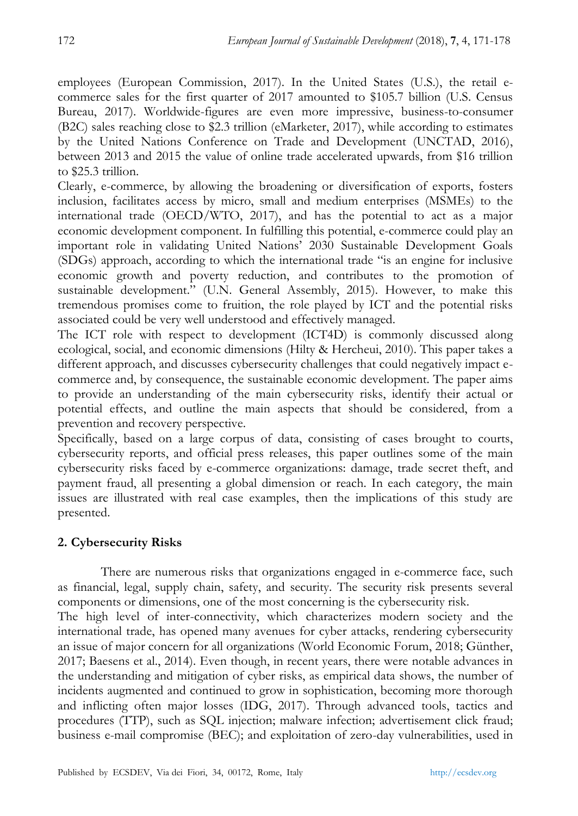employees (European Commission, 2017). In the United States (U.S.), the retail ecommerce sales for the first quarter of 2017 amounted to \$105.7 billion (U.S. Census Bureau, 2017). Worldwide-figures are even more impressive, business-to-consumer (B2C) sales reaching close to \$2.3 trillion (eMarketer, 2017), while according to estimates by the United Nations Conference on Trade and Development (UNCTAD, 2016), between 2013 and 2015 the value of online trade accelerated upwards, from \$16 trillion to \$25.3 trillion.

Clearly, e-commerce, by allowing the broadening or diversification of exports, fosters inclusion, facilitates access by micro, small and medium enterprises (MSMEs) to the international trade (OECD/WTO, 2017), and has the potential to act as a major economic development component. In fulfilling this potential, e-commerce could play an important role in validating United Nations' 2030 Sustainable Development Goals (SDGs) approach, according to which the international trade "is an engine for inclusive economic growth and poverty reduction, and contributes to the promotion of sustainable development." (U.N. General Assembly, 2015). However, to make this tremendous promises come to fruition, the role played by ICT and the potential risks associated could be very well understood and effectively managed.

The ICT role with respect to development (ICT4D) is commonly discussed along ecological, social, and economic dimensions (Hilty & Hercheui, 2010). This paper takes a different approach, and discusses cybersecurity challenges that could negatively impact ecommerce and, by consequence, the sustainable economic development. The paper aims to provide an understanding of the main cybersecurity risks, identify their actual or potential effects, and outline the main aspects that should be considered, from a prevention and recovery perspective.

Specifically, based on a large corpus of data, consisting of cases brought to courts, cybersecurity reports, and official press releases, this paper outlines some of the main cybersecurity risks faced by e-commerce organizations: damage, trade secret theft, and payment fraud, all presenting a global dimension or reach. In each category, the main issues are illustrated with real case examples, then the implications of this study are presented.

# **2. Cybersecurity Risks**

There are numerous risks that organizations engaged in e-commerce face, such as financial, legal, supply chain, safety, and security. The security risk presents several components or dimensions, one of the most concerning is the cybersecurity risk.

The high level of inter-connectivity, which characterizes modern society and the international trade, has opened many avenues for cyber attacks, rendering cybersecurity an issue of major concern for all organizations (World Economic Forum, 2018; Günther, 2017; Baesens et al., 2014). Even though, in recent years, there were notable advances in the understanding and mitigation of cyber risks, as empirical data shows, the number of incidents augmented and continued to grow in sophistication, becoming more thorough and inflicting often major losses (IDG, 2017). Through advanced tools, tactics and procedures (TTP), such as SQL injection; malware infection; advertisement click fraud; business e-mail compromise (BEC); and exploitation of zero-day vulnerabilities, used in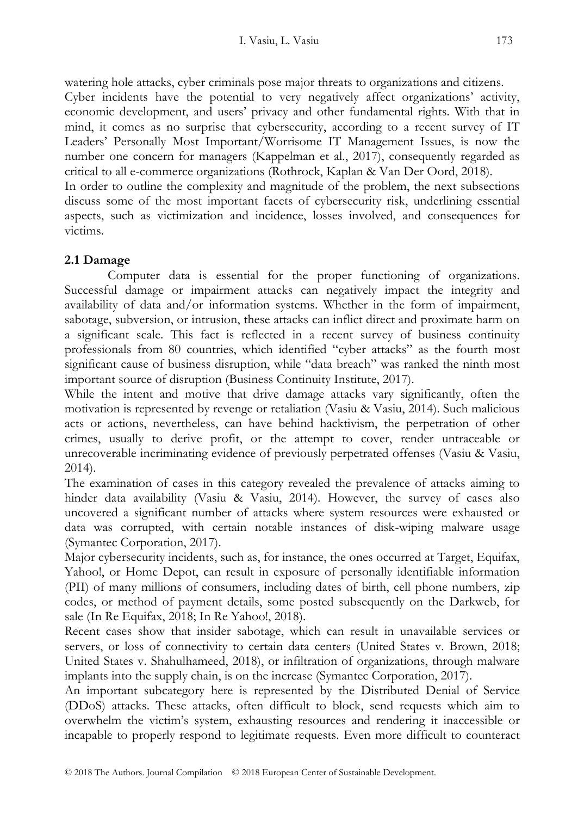watering hole attacks, cyber criminals pose major threats to organizations and citizens.

Cyber incidents have the potential to very negatively affect organizations' activity, economic development, and users' privacy and other fundamental rights. With that in mind, it comes as no surprise that cybersecurity, according to a recent survey of IT Leaders' Personally Most Important/Worrisome IT Management Issues, is now the number one concern for managers (Kappelman et al., 2017), consequently regarded as critical to all e-commerce organizations (Rothrock, Kaplan & Van Der Oord, 2018).

In order to outline the complexity and magnitude of the problem, the next subsections discuss some of the most important facets of cybersecurity risk, underlining essential aspects, such as victimization and incidence, losses involved, and consequences for victims.

# **2.1 Damage**

Computer data is essential for the proper functioning of organizations. Successful damage or impairment attacks can negatively impact the integrity and availability of data and/or information systems. Whether in the form of impairment, sabotage, subversion, or intrusion, these attacks can inflict direct and proximate harm on a significant scale. This fact is reflected in a recent survey of business continuity professionals from 80 countries, which identified "cyber attacks" as the fourth most significant cause of business disruption, while "data breach" was ranked the ninth most important source of disruption (Business Continuity Institute, 2017).

While the intent and motive that drive damage attacks vary significantly, often the motivation is represented by revenge or retaliation (Vasiu & Vasiu, 2014). Such malicious acts or actions, nevertheless, can have behind hacktivism, the perpetration of other crimes, usually to derive profit, or the attempt to cover, render untraceable or unrecoverable incriminating evidence of previously perpetrated offenses (Vasiu & Vasiu, 2014).

The examination of cases in this category revealed the prevalence of attacks aiming to hinder data availability (Vasiu & Vasiu, 2014). However, the survey of cases also uncovered a significant number of attacks where system resources were exhausted or data was corrupted, with certain notable instances of disk-wiping malware usage (Symantec Corporation, 2017).

Major cybersecurity incidents, such as, for instance, the ones occurred at Target, Equifax, Yahoo!, or Home Depot, can result in exposure of personally identifiable information (PII) of many millions of consumers, including dates of birth, cell phone numbers, zip codes, or method of payment details, some posted subsequently on the Darkweb, for sale (In Re Equifax, 2018; In Re Yahoo!, 2018).

Recent cases show that insider sabotage, which can result in unavailable services or servers, or loss of connectivity to certain data centers (United States v. Brown, 2018; United States v. Shahulhameed, 2018), or infiltration of organizations, through malware implants into the supply chain, is on the increase (Symantec Corporation, 2017).

An important subcategory here is represented by the Distributed Denial of Service (DDoS) attacks. These attacks, often difficult to block, send requests which aim to overwhelm the victim's system, exhausting resources and rendering it inaccessible or incapable to properly respond to legitimate requests. Even more difficult to counteract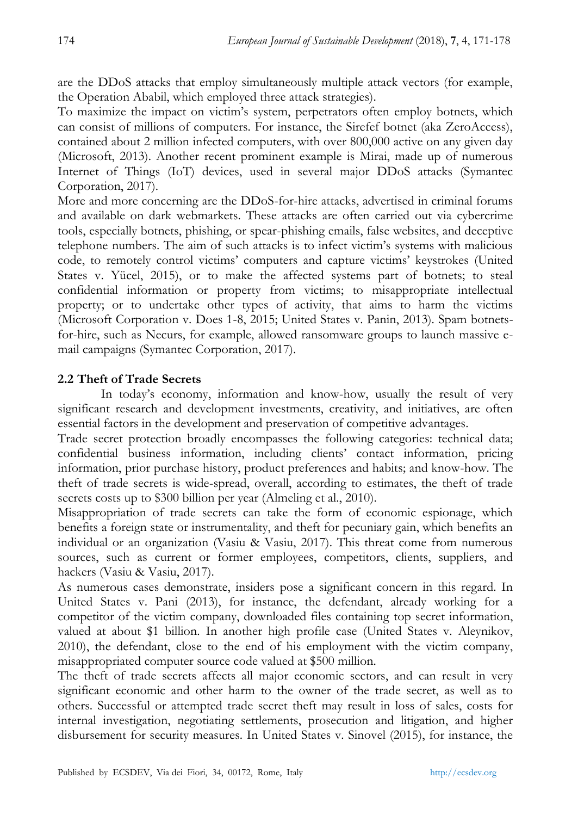are the DDoS attacks that employ simultaneously multiple attack vectors (for example, the Operation Ababil, which employed three attack strategies).

To maximize the impact on victim's system, perpetrators often employ botnets, which can consist of millions of computers. For instance, the Sirefef botnet (aka ZeroAccess), contained about 2 million infected computers, with over 800,000 active on any given day (Microsoft, 2013). Another recent prominent example is Mirai, made up of numerous Internet of Things (IoT) devices, used in several major DDoS attacks (Symantec Corporation, 2017).

More and more concerning are the DDoS-for-hire attacks, advertised in criminal forums and available on dark webmarkets. These attacks are often carried out via cybercrime tools, especially botnets, phishing, or spear-phishing emails, false websites, and deceptive telephone numbers. The aim of such attacks is to infect victim's systems with malicious code, to remotely control victims' computers and capture victims' keystrokes (United States v. Yücel, 2015), or to make the affected systems part of botnets; to steal confidential information or property from victims; to misappropriate intellectual property; or to undertake other types of activity, that aims to harm the victims (Microsoft Corporation v. Does 1-8, 2015; United States v. Panin, 2013). Spam botnetsfor-hire, such as Necurs, for example, allowed ransomware groups to launch massive email campaigns (Symantec Corporation, 2017).

# **2.2 Theft of Trade Secrets**

In today's economy, information and know-how, usually the result of very significant research and development investments, creativity, and initiatives, are often essential factors in the development and preservation of competitive advantages.

Trade secret protection broadly encompasses the following categories: technical data; confidential business information, including clients' contact information, pricing information, prior purchase history, product preferences and habits; and know-how. The theft of trade secrets is wide-spread, overall, according to estimates, the theft of trade secrets costs up to \$300 billion per year (Almeling et al., 2010).

Misappropriation of trade secrets can take the form of economic espionage, which benefits a foreign state or instrumentality, and theft for pecuniary gain, which benefits an individual or an organization (Vasiu & Vasiu, 2017). This threat come from numerous sources, such as current or former employees, competitors, clients, suppliers, and hackers (Vasiu & Vasiu, 2017).

As numerous cases demonstrate, insiders pose a significant concern in this regard. In United States v. Pani (2013), for instance, the defendant, already working for a competitor of the victim company, downloaded files containing top secret information, valued at about \$1 billion. In another high profile case (United States v. Aleynikov, 2010), the defendant, close to the end of his employment with the victim company, misappropriated computer source code valued at \$500 million.

The theft of trade secrets affects all major economic sectors, and can result in very significant economic and other harm to the owner of the trade secret, as well as to others. Successful or attempted trade secret theft may result in loss of sales, costs for internal investigation, negotiating settlements, prosecution and litigation, and higher disbursement for security measures. In United States v. Sinovel (2015), for instance, the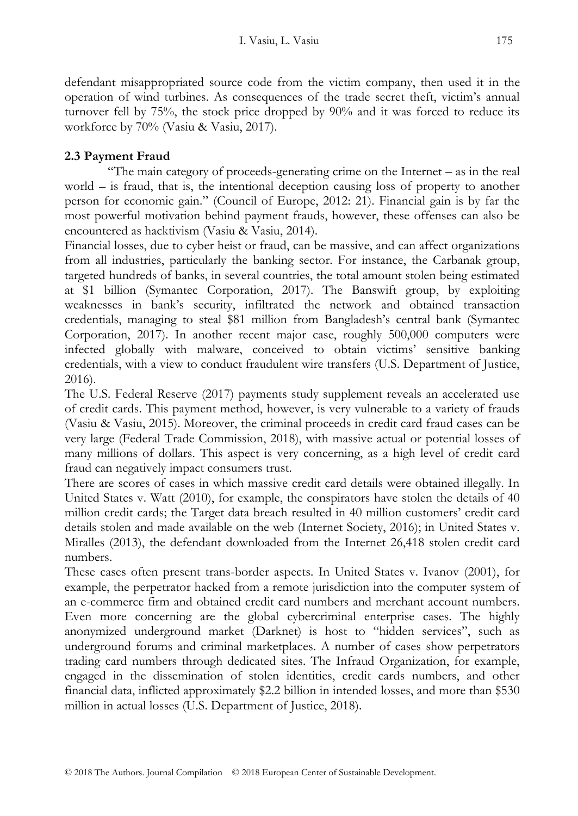defendant misappropriated source code from the victim company, then used it in the operation of wind turbines. As consequences of the trade secret theft, victim's annual turnover fell by 75%, the stock price dropped by 90% and it was forced to reduce its workforce by 70% (Vasiu & Vasiu, 2017).

# **2.3 Payment Fraud**

"The main category of proceeds-generating crime on the Internet – as in the real world – is fraud, that is, the intentional deception causing loss of property to another person for economic gain." (Council of Europe, 2012: 21). Financial gain is by far the most powerful motivation behind payment frauds, however, these offenses can also be encountered as hacktivism (Vasiu & Vasiu, 2014).

Financial losses, due to cyber heist or fraud, can be massive, and can affect organizations from all industries, particularly the banking sector. For instance, the Carbanak group, targeted hundreds of banks, in several countries, the total amount stolen being estimated at \$1 billion (Symantec Corporation, 2017). The Banswift group, by exploiting weaknesses in bank's security, infiltrated the network and obtained transaction credentials, managing to steal \$81 million from Bangladesh's central bank (Symantec Corporation, 2017). In another recent major case, roughly 500,000 computers were infected globally with malware, conceived to obtain victims' sensitive banking credentials, with a view to conduct fraudulent wire transfers (U.S. Department of Justice, 2016).

The U.S. Federal Reserve (2017) payments study supplement reveals an accelerated use of credit cards. This payment method, however, is very vulnerable to a variety of frauds (Vasiu & Vasiu, 2015). Moreover, the criminal proceeds in credit card fraud cases can be very large (Federal Trade Commission, 2018), with massive actual or potential losses of many millions of dollars. This aspect is very concerning, as a high level of credit card fraud can negatively impact consumers trust.

There are scores of cases in which massive credit card details were obtained illegally. In United States v. Watt (2010), for example, the conspirators have stolen the details of 40 million credit cards; the Target data breach resulted in 40 million customers' credit card details stolen and made available on the web (Internet Society, 2016); in United States v. Miralles (2013), the defendant downloaded from the Internet 26,418 stolen credit card numbers.

These cases often present trans-border aspects. In United States v. Ivanov (2001), for example, the perpetrator hacked from a remote jurisdiction into the computer system of an e-commerce firm and obtained credit card numbers and merchant account numbers. Even more concerning are the global cybercriminal enterprise cases. The highly anonymized underground market (Darknet) is host to "hidden services", such as underground forums and criminal marketplaces. A number of cases show perpetrators trading card numbers through dedicated sites. The Infraud Organization, for example, engaged in the dissemination of stolen identities, credit cards numbers, and other financial data, inflicted approximately \$2.2 billion in intended losses, and more than \$530 million in actual losses (U.S. Department of Justice, 2018).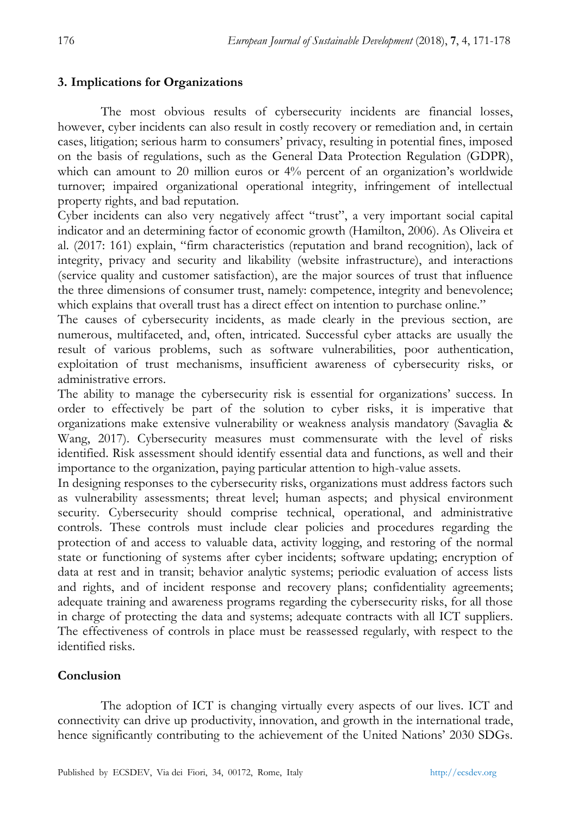### **3. Implications for Organizations**

The most obvious results of cybersecurity incidents are financial losses, however, cyber incidents can also result in costly recovery or remediation and, in certain cases, litigation; serious harm to consumers' privacy, resulting in potential fines, imposed on the basis of regulations, such as the General Data Protection Regulation (GDPR), which can amount to 20 million euros or 4% percent of an organization's worldwide turnover; impaired organizational operational integrity, infringement of intellectual property rights, and bad reputation.

Cyber incidents can also very negatively affect "trust", a very important social capital indicator and an determining factor of economic growth (Hamilton, 2006). As Oliveira et al. (2017: 161) explain, "firm characteristics (reputation and brand recognition), lack of integrity, privacy and security and likability (website infrastructure), and interactions (service quality and customer satisfaction), are the major sources of trust that influence the three dimensions of consumer trust, namely: competence, integrity and benevolence; which explains that overall trust has a direct effect on intention to purchase online."

The causes of cybersecurity incidents, as made clearly in the previous section, are numerous, multifaceted, and, often, intricated. Successful cyber attacks are usually the result of various problems, such as software vulnerabilities, poor authentication, exploitation of trust mechanisms, insufficient awareness of cybersecurity risks, or administrative errors.

The ability to manage the cybersecurity risk is essential for organizations' success. In order to effectively be part of the solution to cyber risks, it is imperative that organizations make extensive vulnerability or weakness analysis mandatory (Savaglia & Wang, 2017). Cybersecurity measures must commensurate with the level of risks identified. Risk assessment should identify essential data and functions, as well and their importance to the organization, paying particular attention to high-value assets.

In designing responses to the cybersecurity risks, organizations must address factors such as vulnerability assessments; threat level; human aspects; and physical environment security. Cybersecurity should comprise technical, operational, and administrative controls. These controls must include clear policies and procedures regarding the protection of and access to valuable data, activity logging, and restoring of the normal state or functioning of systems after cyber incidents; software updating; encryption of data at rest and in transit; behavior analytic systems; periodic evaluation of access lists and rights, and of incident response and recovery plans; confidentiality agreements; adequate training and awareness programs regarding the cybersecurity risks, for all those in charge of protecting the data and systems; adequate contracts with all ICT suppliers. The effectiveness of controls in place must be reassessed regularly, with respect to the identified risks.

# **Conclusion**

The adoption of ICT is changing virtually every aspects of our lives. ICT and connectivity can drive up productivity, innovation, and growth in the international trade, hence significantly contributing to the achievement of the United Nations' 2030 SDGs.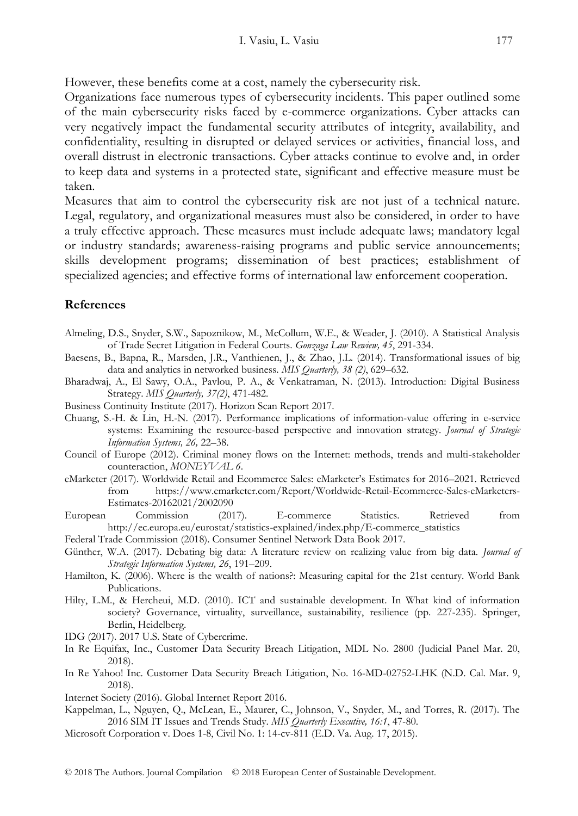However, these benefits come at a cost, namely the cybersecurity risk.

Organizations face numerous types of cybersecurity incidents. This paper outlined some of the main cybersecurity risks faced by e-commerce organizations. Cyber attacks can very negatively impact the fundamental security attributes of integrity, availability, and confidentiality, resulting in disrupted or delayed services or activities, financial loss, and overall distrust in electronic transactions. Cyber attacks continue to evolve and, in order to keep data and systems in a protected state, significant and effective measure must be taken.

Measures that aim to control the cybersecurity risk are not just of a technical nature. Legal, regulatory, and organizational measures must also be considered, in order to have a truly effective approach. These measures must include adequate laws; mandatory legal or industry standards; awareness-raising programs and public service announcements; skills development programs; dissemination of best practices; establishment of specialized agencies; and effective forms of international law enforcement cooperation.

#### **References**

- Almeling, D.S., Snyder, S.W., Sapoznikow, M., McCollum, W.E., & Weader, J. (2010). A Statistical Analysis of Trade Secret Litigation in Federal Courts. *Gonzaga Law Rewiew, 45*, 291-334.
- Baesens, B., Bapna, R., Marsden, J.R., Vanthienen, J., & Zhao, J.L. (2014). Transformational issues of big data and analytics in networked business. *MIS Quarterly, 38 (2)*, 629–632.
- Bharadwaj, A., El Sawy, O.A., Pavlou, P. A., & Venkatraman, N. (2013). Introduction: Digital Business Strategy. *MIS Quarterly, 37(2)*, 471-482.
- Business Continuity Institute (2017). Horizon Scan Report 2017.
- Chuang, S.-H. & Lin, H.-N. (2017). Performance implications of information-value offering in e-service systems: Examining the resource-based perspective and innovation strategy. *Journal of Strategic Information Systems, 26,* 22–38.
- Council of Europe (2012). Criminal money flows on the Internet: methods, trends and multi-stakeholder counteraction, *MONEYVAL 6*.
- eMarketer (2017). Worldwide Retail and Ecommerce Sales: eMarketer's Estimates for 2016–2021. Retrieved from https://www.emarketer.com/Report/Worldwide-Retail-Ecommerce-Sales-eMarketers-Estimates-20162021/2002090
- European Commission (2017). E-commerce Statistics. Retrieved from http://ec.europa.eu/eurostat/statistics-explained/index.php/E-commerce\_statistics
- Federal Trade Commission (2018). Consumer Sentinel Network Data Book 2017.
- Günther, W.A. (2017). Debating big data: A literature review on realizing value from big data. *Journal of Strategic Information Systems, 26*, 191–209.
- Hamilton, K. (2006). Where is the wealth of nations?: Measuring capital for the 21st century. World Bank Publications.
- Hilty, L.M., & Hercheui, M.D. (2010). ICT and sustainable development. In What kind of information society? Governance, virtuality, surveillance, sustainability, resilience (pp. 227-235). Springer, Berlin, Heidelberg.
- IDG (2017). 2017 U.S. State of Cybercrime.
- In Re Equifax, Inc., Customer Data Security Breach Litigation, MDL No. 2800 (Judicial Panel Mar. 20, 2018).
- In Re Yahoo! Inc. Customer Data Security Breach Litigation, No. 16-MD-02752-LHK (N.D. Cal. Mar. 9, 2018).
- Internet Society (2016). Global Internet Report 2016.
- Kappelman, L., Nguyen, Q., McLean, E., Maurer, C., Johnson, V., Snyder, M., and Torres, R. (2017). The 2016 SIM IT Issues and Trends Study. *MIS Quarterly Executive, 16:1*, 47-80.
- Microsoft Corporation v. Does 1-8, Civil No. 1: 14-cv-811 (E.D. Va. Aug. 17, 2015).